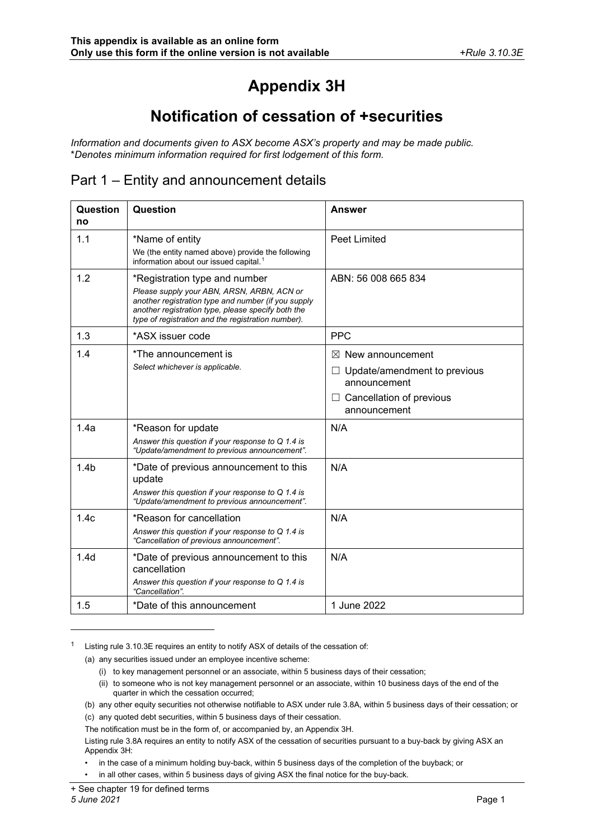# **Appendix 3H**

## **Notification of cessation of +securities**

*Information and documents given to ASX become ASX's property and may be made public.* \**Denotes minimum information required for first lodgement of this form.*

#### Part 1 – Entity and announcement details

| Question<br>no   | Question                                                                                                                                                                                                                                       | <b>Answer</b>                                                                                                            |
|------------------|------------------------------------------------------------------------------------------------------------------------------------------------------------------------------------------------------------------------------------------------|--------------------------------------------------------------------------------------------------------------------------|
| 1.1              | *Name of entity<br>We (the entity named above) provide the following<br>information about our issued capital. <sup>1</sup>                                                                                                                     | Peet Limited                                                                                                             |
| 1.2              | *Registration type and number<br>Please supply your ABN, ARSN, ARBN, ACN or<br>another registration type and number (if you supply<br>another registration type, please specify both the<br>type of registration and the registration number). | ABN: 56 008 665 834                                                                                                      |
| 1.3              | *ASX issuer code                                                                                                                                                                                                                               | <b>PPC</b>                                                                                                               |
| 1.4              | *The announcement is<br>Select whichever is applicable.                                                                                                                                                                                        | $\boxtimes$ New announcement<br>Update/amendment to previous<br>announcement<br>Cancellation of previous<br>announcement |
| 1.4a             | *Reason for update<br>Answer this question if your response to $Q$ 1.4 is<br>"Update/amendment to previous announcement".                                                                                                                      | N/A                                                                                                                      |
| 1.4 <sub>b</sub> | *Date of previous announcement to this<br>update<br>Answer this question if your response to $Q$ 1.4 is<br>"Update/amendment to previous announcement".                                                                                        | N/A                                                                                                                      |
| 1.4c             | *Reason for cancellation<br>Answer this question if your response to $Q$ 1.4 is<br>"Cancellation of previous announcement".                                                                                                                    | N/A                                                                                                                      |
| 1.4d             | *Date of previous announcement to this<br>cancellation<br>Answer this question if your response to Q 1.4 is<br>"Cancellation".                                                                                                                 | N/A                                                                                                                      |
| 1.5              | *Date of this announcement                                                                                                                                                                                                                     | 1 June 2022                                                                                                              |

<span id="page-0-0"></span><sup>1</sup> Listing rule 3.10.3E requires an entity to notify ASX of details of the cessation of:

- (a) any securities issued under an employee incentive scheme:
	- (i) to key management personnel or an associate, within 5 business days of their cessation;
	- (ii) to someone who is not key management personnel or an associate, within 10 business days of the end of the quarter in which the cessation occurred;
- (b) any other equity securities not otherwise notifiable to ASX under rule 3.8A, within 5 business days of their cessation; or (c) any quoted debt securities, within 5 business days of their cessation.

The notification must be in the form of, or accompanied by, an Appendix 3H.

Listing rule 3.8A requires an entity to notify ASX of the cessation of securities pursuant to a buy-back by giving ASX an Appendix 3H:

• in the case of a minimum holding buy-back, within 5 business days of the completion of the buyback; or

• in all other cases, within 5 business days of giving ASX the final notice for the buy-back.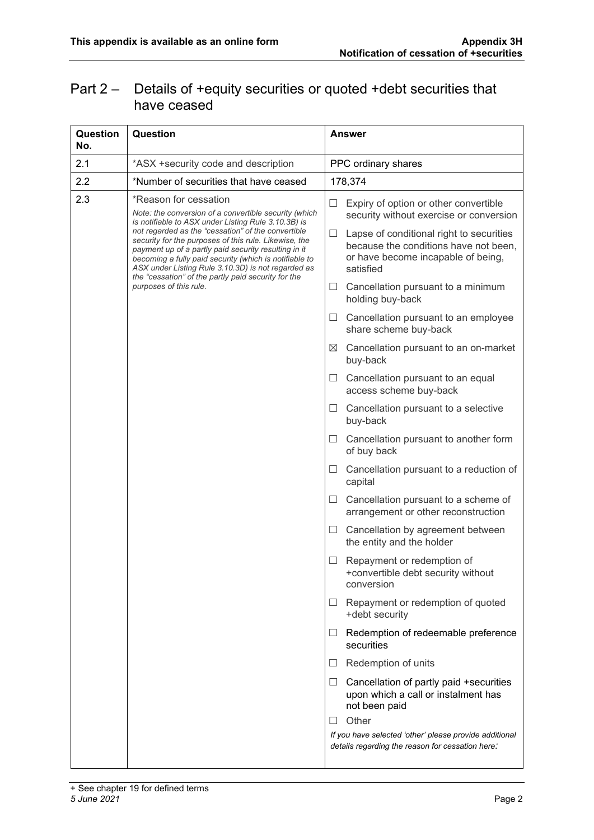### Part 2 – Details of +equity securities or quoted +debt securities that have ceased

| Question<br>No. | Question                                                                                                                                                                                                                                                                                                                                   | <b>Answer</b>           |                                                                                                                         |
|-----------------|--------------------------------------------------------------------------------------------------------------------------------------------------------------------------------------------------------------------------------------------------------------------------------------------------------------------------------------------|-------------------------|-------------------------------------------------------------------------------------------------------------------------|
| 2.1             | *ASX +security code and description                                                                                                                                                                                                                                                                                                        |                         | PPC ordinary shares                                                                                                     |
| 2.2             | *Number of securities that have ceased                                                                                                                                                                                                                                                                                                     | 178,374                 |                                                                                                                         |
| 2.3             | *Reason for cessation<br>Note: the conversion of a convertible security (which<br>is notifiable to ASX under Listing Rule 3.10.3B) is                                                                                                                                                                                                      | ⊔                       | Expiry of option or other convertible<br>security without exercise or conversion                                        |
|                 | not regarded as the "cessation" of the convertible<br>security for the purposes of this rule. Likewise, the<br>payment up of a partly paid security resulting in it<br>becoming a fully paid security (which is notifiable to<br>ASX under Listing Rule 3.10.3D) is not regarded as<br>the "cessation" of the partly paid security for the | ப<br>satisfied          | Lapse of conditional right to securities<br>because the conditions have not been,<br>or have become incapable of being, |
|                 | purposes of this rule.                                                                                                                                                                                                                                                                                                                     | $\Box$                  | Cancellation pursuant to a minimum<br>holding buy-back                                                                  |
|                 |                                                                                                                                                                                                                                                                                                                                            | ш                       | Cancellation pursuant to an employee<br>share scheme buy-back                                                           |
|                 |                                                                                                                                                                                                                                                                                                                                            | $\boxtimes$<br>buy-back | Cancellation pursuant to an on-market                                                                                   |
|                 |                                                                                                                                                                                                                                                                                                                                            | $\Box$                  | Cancellation pursuant to an equal<br>access scheme buy-back                                                             |
|                 |                                                                                                                                                                                                                                                                                                                                            | $\Box$<br>buy-back      | Cancellation pursuant to a selective                                                                                    |
|                 |                                                                                                                                                                                                                                                                                                                                            | ш                       | Cancellation pursuant to another form<br>of buy back                                                                    |
|                 |                                                                                                                                                                                                                                                                                                                                            | ப<br>capital            | Cancellation pursuant to a reduction of                                                                                 |
|                 |                                                                                                                                                                                                                                                                                                                                            | ப                       | Cancellation pursuant to a scheme of<br>arrangement or other reconstruction                                             |
|                 |                                                                                                                                                                                                                                                                                                                                            | ப                       | Cancellation by agreement between<br>the entity and the holder                                                          |
|                 |                                                                                                                                                                                                                                                                                                                                            | Ш                       | Repayment or redemption of<br>+convertible debt security without<br>conversion                                          |
|                 |                                                                                                                                                                                                                                                                                                                                            | ш                       | Repayment or redemption of quoted<br>+debt security                                                                     |
|                 |                                                                                                                                                                                                                                                                                                                                            | Ш<br>securities         | Redemption of redeemable preference                                                                                     |
|                 |                                                                                                                                                                                                                                                                                                                                            | ⊔                       | Redemption of units                                                                                                     |
|                 |                                                                                                                                                                                                                                                                                                                                            | ப                       | Cancellation of partly paid +securities<br>upon which a call or instalment has<br>not been paid                         |
|                 |                                                                                                                                                                                                                                                                                                                                            | Other<br>H              |                                                                                                                         |
|                 |                                                                                                                                                                                                                                                                                                                                            |                         | If you have selected 'other' please provide additional<br>details regarding the reason for cessation here:              |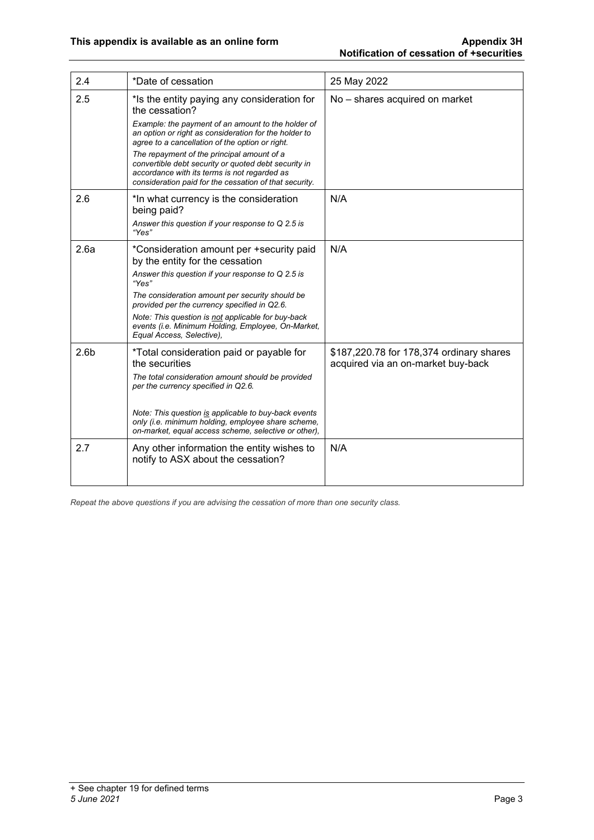| 2.4              | *Date of cessation                                                                                                                                                                                                                                                                                                                                                                    | 25 May 2022                                                                    |
|------------------|---------------------------------------------------------------------------------------------------------------------------------------------------------------------------------------------------------------------------------------------------------------------------------------------------------------------------------------------------------------------------------------|--------------------------------------------------------------------------------|
| 2.5              | *Is the entity paying any consideration for<br>the cessation?                                                                                                                                                                                                                                                                                                                         | No - shares acquired on market                                                 |
|                  | Example: the payment of an amount to the holder of<br>an option or right as consideration for the holder to<br>agree to a cancellation of the option or right.<br>The repayment of the principal amount of a<br>convertible debt security or quoted debt security in<br>accordance with its terms is not regarded as<br>consideration paid for the cessation of that security.        |                                                                                |
| 2.6              | *In what currency is the consideration<br>being paid?<br>Answer this question if your response to Q 2.5 is<br>"Yes"                                                                                                                                                                                                                                                                   | N/A                                                                            |
| 2.6a             | *Consideration amount per +security paid<br>by the entity for the cessation<br>Answer this question if your response to Q 2.5 is<br>"Yes"<br>The consideration amount per security should be<br>provided per the currency specified in Q2.6.<br>Note: This question is not applicable for buy-back<br>events (i.e. Minimum Holding, Employee, On-Market,<br>Equal Access, Selective), | N/A                                                                            |
| 2.6 <sub>b</sub> | *Total consideration paid or payable for<br>the securities<br>The total consideration amount should be provided<br>per the currency specified in Q2.6.<br>Note: This question is applicable to buy-back events<br>only (i.e. minimum holding, employee share scheme,<br>on-market, equal access scheme, selective or other),                                                          | \$187,220.78 for 178,374 ordinary shares<br>acquired via an on-market buy-back |
| 2.7              | Any other information the entity wishes to<br>notify to ASX about the cessation?                                                                                                                                                                                                                                                                                                      | N/A                                                                            |

*Repeat the above questions if you are advising the cessation of more than one security class.*